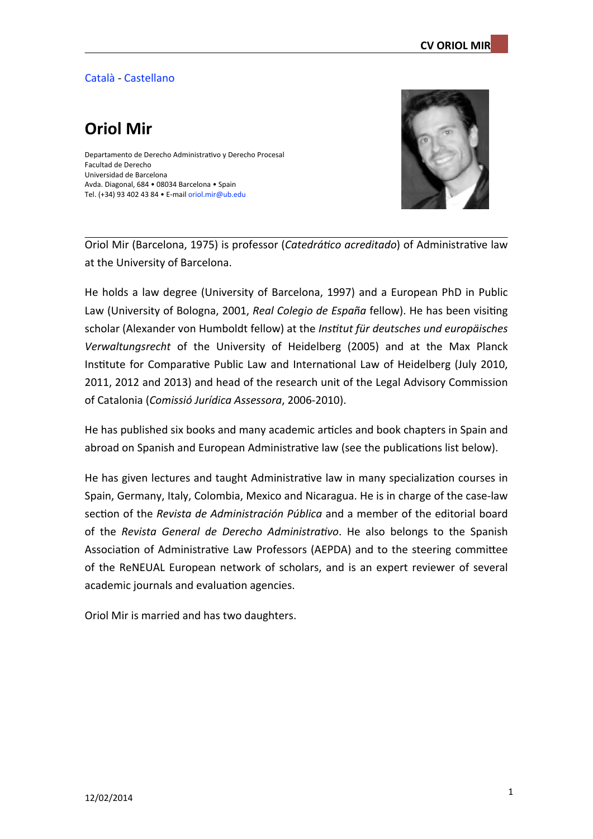## Català - [Castellano](http://www.ub.edu/dadmin/CV_breve_OriolMir_castellano.pdf)

# **Oriol Mir**

Departamento de Derecho Administrativo y Derecho Procesal Facultad de Derecho Universidad de Barcelona Avda. Diagonal, 684 • 08034 Barcelona • Spain Tel. (+34) 93 402 43 84 • E-mail oriol.mir@ub.edu



Oriol Mir (Barcelona, 1975) is professor (*Catedrático acreditado*) of Administrative law at the University of Barcelona.

He holds a law degree (University of Barcelona, 1997) and a European PhD in Public Law (University of Bologna, 2001, *Real Colegio de España* fellow). He has been visiting scholar (Alexander von Humboldt fellow) at the *Institut für deutsches und europäisches* Verwaltungsrecht of the University of Heidelberg (2005) and at the Max Planck Institute for Comparative Public Law and International Law of Heidelberg (July 2010, 2011, 2012 and 2013) and head of the research unit of the Legal Advisory Commission of Catalonia (Comissió Jurídica Assessora, 2006-2010).

He has published six books and many academic articles and book chapters in Spain and abroad on Spanish and European Administrative law (see the publications list below).

He has given lectures and taught Administrative law in many specialization courses in Spain, Germany, Italy, Colombia, Mexico and Nicaragua. He is in charge of the case-law section of the *Revista de Administración Pública* and a member of the editorial board of the Revista General de Derecho Administrativo. He also belongs to the Spanish Association of Administrative Law Professors (AEPDA) and to the steering committee of the ReNEUAL European network of scholars, and is an expert reviewer of several academic journals and evaluation agencies.

Oriol Mir is married and has two daughters.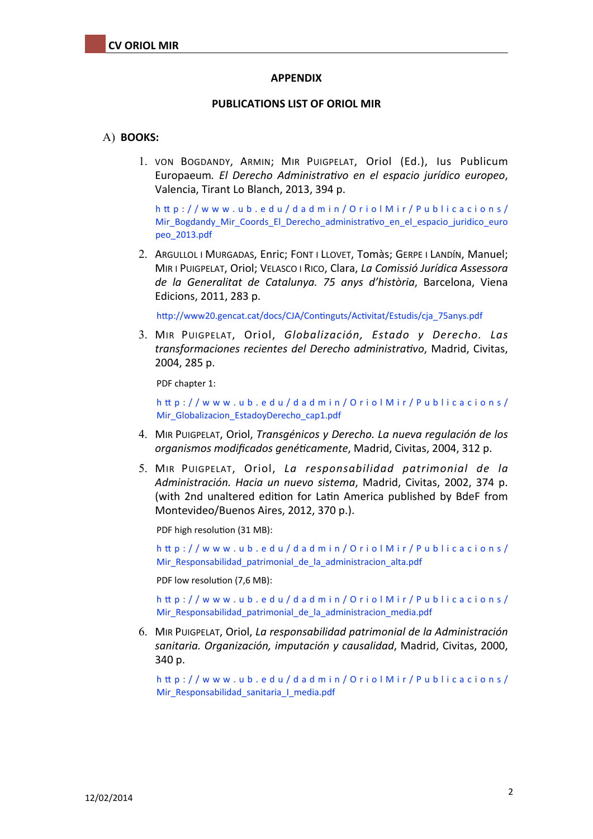#### **APPENDIX**

#### **PUBLICATIONS LIST OF ORIOL MIR**

#### A) **BOOKS:**

1. VON BOGDANDY, ARMIN: MIR PUIGPELAT, Oriol (Ed.), lus Publicum Europaeum. *El Derecho Administrativo en el espacio jurídico europeo*, Valencia, Tirant Lo Blanch, 2013, 394 p.

[h`p://www.ub.edu/dadmin/OriolMir/Publicacions/](http://www.ub.edu/dadmin/OriolMir/Publicacions/Mir_Bogdandy_Mir_Coords_El_Derecho_administrativo_en_el_espacio_juridico_europeo_2013.pdf) Mir\_Bogdandy\_Mir\_Coords\_El\_Derecho\_administrativo\_en\_el\_espacio\_juridico\_euro [peo\\_2013.pdf](http://www.ub.edu/dadmin/OriolMir/Publicacions/Mir_Bogdandy_Mir_Coords_El_Derecho_administrativo_en_el_espacio_juridico_europeo_2013.pdf)

2. ARGULLOL I MURGADAS, Enric; FONT I LLOVET, Tomàs; GERPE I LANDÍN, Manuel; MIR I PUIGPELAT, Oriol; VELASCO I RICO, Clara, *La Comissió Jurídica Assessora de la Generalitat de Catalunya. 75 anys d'història*, Barcelona, Viena Edicions, 2011, 283 p.

http://www20.gencat.cat/docs/CJA/Continguts/Activitat/Estudis/cja\_75anys.pdf

3. MIR PUIGPELAT, Oriol, *Globalización, Estado y Derecho, Las transformaciones recientes del Derecho administra(vo*, Madrid, Civitas, 2004, 285 p.

PDF chapter 1:

[h`p://www.ub.edu/dadmin/OriolMir/Publicacions/](http://www.ub.edu/dadmin/OriolMir/Publicacions/Mir_Globalizacion_EstadoyDerecho_cap1.pdf) Mir Globalizacion EstadoyDerecho cap1.pdf

- 4. MIR PUIGPELAT, Oriol, *Transgénicos* y Derecho. La nueva regulación de los *organismos modificados genéticamente*, Madrid, Civitas, 2004, 312 p.
- 5. MIR PUIGPELAT, Oriol, *La responsabilidad patrimonial de la Administración. Hacia un nuevo sistema*, Madrid, Civitas, 2002, 374 p. (with 2nd unaltered edition for Latin America published by BdeF from Montevideo/Buenos Aires, 2012, 370 p.).

PDF high resolution (31 MB):

[h`p://www.ub.edu/dadmin/OriolMir/Publicacions/](http://www.ub.edu/dadmin/OriolMir/Publicacions/Mir_Responsabilidad_patrimonial_de_la_administracion_alta.pdf) [Mir\\_Responsabilidad\\_patrimonial\\_de\\_la\\_administracion\\_alta.pdf](http://www.ub.edu/dadmin/OriolMir/Publicacions/Mir_Responsabilidad_patrimonial_de_la_administracion_alta.pdf)

PDF low resolution (7,6 MB):

[h`p://www.ub.edu/dadmin/OriolMir/Publicacions/](http://www.ub.edu/dadmin/OriolMir/Publicacions/Mir_Responsabilidad_patrimonial_de_la_administracion_media.pdf) [Mir\\_Responsabilidad\\_patrimonial\\_de\\_la\\_administracion\\_media.pdf](http://www.ub.edu/dadmin/OriolMir/Publicacions/Mir_Responsabilidad_patrimonial_de_la_administracion_media.pdf)

6. MIR PUIGPELAT, Oriol, La responsabilidad patrimonial de la Administración sanitaria. Organización, imputación y causalidad, Madrid, Civitas, 2000, 340 p.

[h`p://www.ub.edu/dadmin/OriolMir/Publicacions/](http://www.ub.edu/dadmin/OriolMir/Publicacions/Mir_Responsabilidad_sanitaria_I_media.pdf) [Mir\\_Responsabilidad\\_sanitaria\\_I\\_media.pdf](http://www.ub.edu/dadmin/OriolMir/Publicacions/Mir_Responsabilidad_sanitaria_I_media.pdf)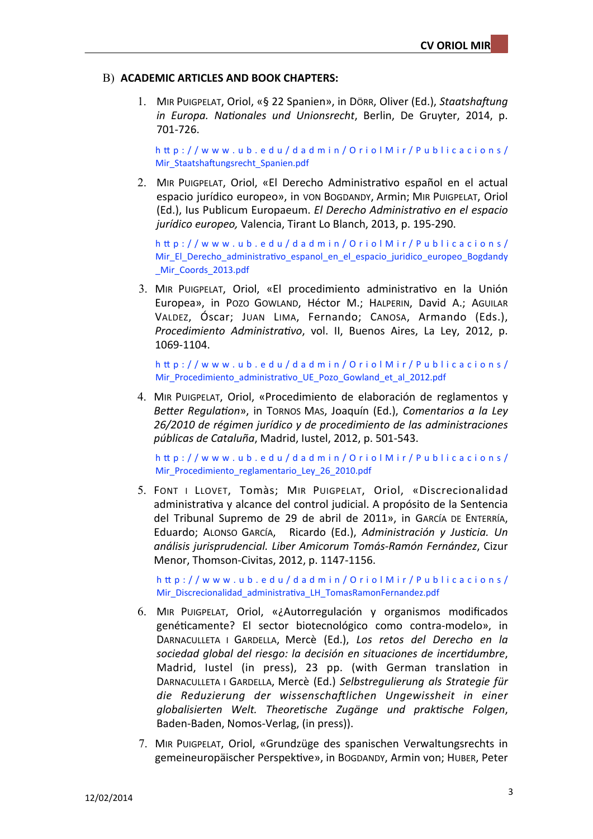### **B) ACADEMIC ARTICLES AND BOOK CHAPTERS:**

1. MIR PUIGPELAT, Oriol, «§ 22 Spanien», in Dörr, Oliver (Ed.), Staatshaftung *in Europa. Nationales und Unionsrecht*, Berlin, De Gruyter, 2014, p. 701-726.

[h`p://www.ub.edu/dadmin/OriolMir/Publicacions/](http://www.ub.edu/dadmin/OriolMir/Publicacions/Mir_Staatshaftungsrecht_Spanien.pdf) Mir\_Staatshaftungsrecht\_Spanien.pdf

2. MIR PUIGPELAT, Oriol, «El Derecho Administrativo español en el actual espacio jurídico europeo», in von Bogdandy, Armin; MIR PuIGPELAT, Oriol (Ed.), Ius Publicum Europaeum. *El Derecho Administrativo en el espacio jurídico europeo,* Valencia, Tirant Lo Blanch, 2013, p. 195-290.

[h`p://www.ub.edu/dadmin/OriolMir/Publicacions/](http://www.ub.edu/dadmin/OriolMir/Publicacions/Mir_El_Derecho_administrativo_espanol_en_el_espacio_juridico_europeo_Bogdandy_Mir_Coords_2013.pdf) Mir\_El\_Derecho\_administrativo\_espanol\_en\_el\_espacio\_juridico\_europeo\_Bogdandy Mir Coords 2013.pdf

3. MIR PUIGPELAT, Oriol, «El procedimiento administrativo en la Unión Europea», in Pozo Gowland, Héctor M.; HALPERIN, David A.; AGUILAR VALDEZ, Óscar; JUAN LIMA, Fernando; CANOSA, Armando (Eds.), *Procedimiento Administrativo*, vol. II, Buenos Aires, La Ley, 2012, p. 1069-1104.

h`p://www.ub.edu/dadmin/OriolMir/Publicacions/ Mir\_Procedimiento\_administrativo\_UE\_Pozo\_Gowland\_et\_al\_2012.pdf

4. MIR PUIGPELAT, Oriol, «Procedimiento de elaboración de reglamentos y *Better Regulation»*, in Tornos Mas, Joaquín (Ed.), *Comentarios a la Ley 26/2010 de régimen jurídico y de procedimiento de las administraciones públicas de Cataluña*, Madrid, Iustel, 2012, p. 501-543.

[h`p://www.ub.edu/dadmin/OriolMir/Publicacions/](http://www.ub.edu/dadmin/OriolMir/Publicacions/Mir_Procedimiento_reglamentario_Ley_26_2010.pdf) Mir Procedimiento reglamentario Ley 26 2010.pdf

5. FONT I LLOVET, Tomàs; MIR PUIGPELAT, Oriol, «Discrecionalidad administrativa y alcance del control judicial. A propósito de la Sentencia del Tribunal Supremo de 29 de abril de 2011», in GARCÍA DE ENTERRÍA, Eduardo; ALONSO GARCÍA, Ricardo (Ed.), Administración y Justicia. Un *análisis jurisprudencial. Liber Amicorum Tomás-Ramón Fernández*, Cizur Menor, Thomson-Civitas, 2012, p. 1147-1156.

[h`p://www.ub.edu/dadmin/OriolMir/Publicacions/](http://www.ub.edu/dadmin/OriolMir/Publicacions/Mir_Discrecionalidad_administrativa_LH_TomasRamonFernandez.pdf) Mir\_Discrecionalidad\_administrativa\_LH\_TomasRamonFernandez.pdf

- 6. MIR PUIGPELAT, Oriol, «¿Autorregulación y organismos modificados genéticamente? El sector biotecnológico como contra-modelo», in DARNACULLETA I GARDELLA, Mercè (Ed.), Los retos del Derecho en la *sociedad global del riesgo: la decisión en situaciones de incer(dumbre*, Madrid, lustel (in press), 23 pp. (with German translation in DARNACULLETA I GARDELLA, Mercè (Ed.) Selbstregulierung als Strategie für die Reduzierung der wissenschaftlichen Ungewissheit in einer globalisierten Welt. Theoretische Zugänge und praktische Folgen, Baden-Baden, Nomos-Verlag, (in press)).
- 7. MIR PUIGPELAT, Oriol, «Grundzüge des spanischen Verwaltungsrechts in gemeineuropäischer Perspektive», in BOGDANDY, Armin von; HUBER, Peter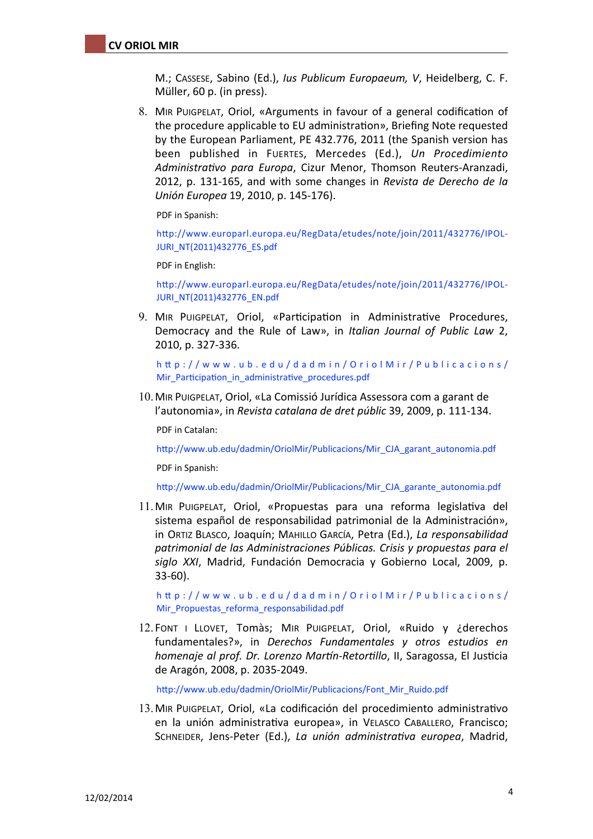M.; CASSESE, Sabino (Ed.), *Ius Publicum Europaeum, V*, Heidelberg, C. F. Müller, 60 p. (in press).

8. MIR PUIGPELAT, Oriol, «Arguments in favour of a general codification of the procedure applicable to EU administration», Briefing Note requested by the European Parliament, PE 432.776, 2011 (the Spanish version has been published in FUERTES, Mercedes (Ed.), Un Procedimiento Administrativo para Europa, Cizur Menor, Thomson Reuters-Aranzadi, 2012, p. 131-165, and with some changes in *Revista de Derecho de la Unión Europea* 19, 2010, p. 145-176).

PDF in Spanish:

http://www.europarl.europa.eu/RegData/etudes/note/join/2011/432776/IPOL-[JURI\\_NT\(2011\)432776\\_ES.pdf](http://www.europarl.europa.eu/RegData/etudes/note/join/2011/432776/IPOL-JURI_NT(2011)432776_ES.pdf)

PDF in English:

[h`p://www.europarl.europa.eu/RegData/etudes/note/join/2011/432776/IPOL-](http://www.europarl.europa.eu/RegData/etudes/note/join/2011/432776/IPOL-JURI_NT(2011)432776_EN.pdf)[JURI\\_NT\(2011\)432776\\_EN.pdf](http://www.europarl.europa.eu/RegData/etudes/note/join/2011/432776/IPOL-JURI_NT(2011)432776_EN.pdf)

9. MIR PUIGPELAT, Oriol, «Participation in Administrative Procedures, Democracy and the Rule of Law», in *Italian Journal of Public Law* 2, 2010, p. 327-336.

[h`p://www.ub.edu/dadmin/OriolMir/Publicacions/](http://www.ub.edu/dadmin/OriolMir/Publicacions/Mir_Participation_in_administrative_procedures.pdf) Mir\_Participation\_in\_administrative\_procedures.pdf

10. MIR PUIGPELAT, Oriol, «La Comissió Jurídica Assessora com a garant de l'autonomia», in *Revista catalana de dret públic* 39, 2009, p. 111-134.

PDF in Catalan:

http://www.ub.edu/dadmin/OriolMir/Publicacions/Mir\_CJA\_garant\_autonomia.pdf

PDF in Spanish:

http://www.ub.edu/dadmin/OriolMir/Publicacions/Mir\_CJA\_garante\_autonomia.pdf

11. MIR PUIGPELAT, Oriol, «Propuestas para una reforma legislativa del sistema español de responsabilidad patrimonial de la Administración», in ORTIZ BLASCO, Joaquín; MAHILLO GARCÍA, Petra (Ed.), La responsabilidad patrimonial de las Administraciones Públicas. Crisis y propuestas para el siglo XXI, Madrid, Fundación Democracia y Gobierno Local, 2009, p. 33-60).

[h`p://www.ub.edu/dadmin/OriolMir/Publicacions/](http://www.ub.edu/dadmin/OriolMir/Publicacions/Mir_Propuestas_reforma_responsabilidad.pdf) [Mir\\_Propuestas\\_reforma\\_responsabilidad.pdf](http://www.ub.edu/dadmin/OriolMir/Publicacions/Mir_Propuestas_reforma_responsabilidad.pdf)

12. FONT I LLOVET, Tomàs; MIR PUIGPELAT, Oriol, «Ruido y ¿derechos fundamentales?», in *Derechos Fundamentales* y otros estudios en *homenaje al prof. Dr. Lorenzo Martín-Retortillo*, II, Saragossa, El Justicia de Aragón, 2008, p. 2035-2049.

http://www.ub.edu/dadmin/OriolMir/Publicacions/Font\_Mir\_Ruido.pdf

13. MIR PUIGPELAT, Oriol, «La codificación del procedimiento administrativo en la unión administrativa europea», in VELASCO CABALLERO, Francisco; SCHNEIDER, Jens-Peter (Ed.), *La unión administrativa europea*, Madrid,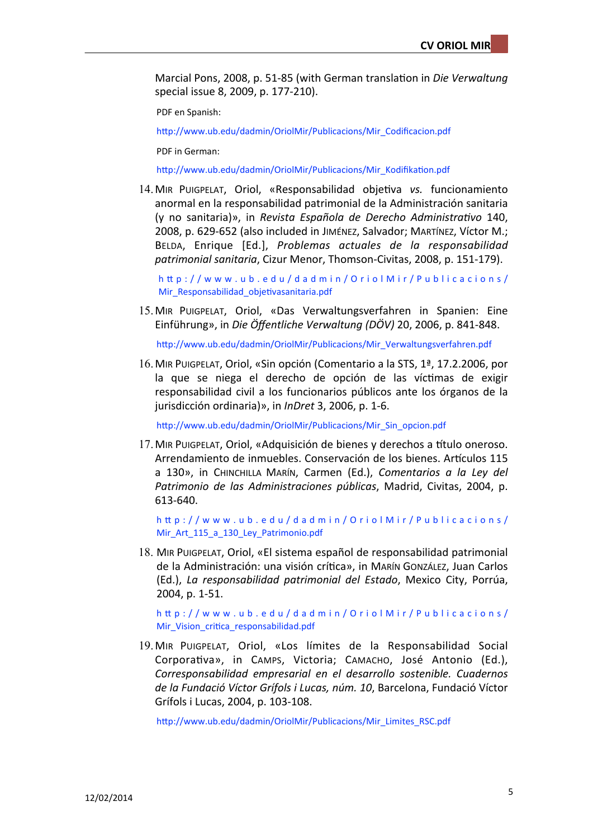Marcial Pons, 2008, p. 51-85 (with German translation in *Die Verwaltung* special issue 8, 2009, p. 177-210).

PDF en Spanish:

http://www.ub.edu/dadmin/OriolMir/Publicacions/Mir\_Codificacion.pdf

PDF in German:

http://www.ub.edu/dadmin/OriolMir/Publicacions/Mir\_Kodifikation.pdf

14. MIR PUIGPELAT, Oriol, «Responsabilidad objetiva vs. funcionamiento anormal en la responsabilidad patrimonial de la Administración sanitaria (y no sanitaria)», in *Revista Española de Derecho Administrativo* 140, 2008, p. 629-652 (also included in JIMÉNEZ, Salvador; MARTÍNEZ, Víctor M.; BELDA, Enrique [Ed.], *Problemas actuales de la responsabilidad patrimonial sanitaria*, Cizur Menor, Thomson-Civitas, 2008, p. 151-179).

[h`p://www.ub.edu/dadmin/OriolMir/Publicacions/](http://www.ub.edu/dadmin/OriolMir/Publicacions/Mir_Responsabilidad_objetivasanitaria.pdf) Mir\_Responsabilidad\_objetivasanitaria.pdf

15. MIR PUIGPELAT, Oriol, «Das Verwaltungsverfahren in Spanien: Eine Einführung», in *Die Öffentliche Verwaltung (DÖV)* 20, 2006, p. 841-848.

[h`p://www.ub.edu/dadmin/OriolMir/Publicacions/Mir\\_Verwaltungsverfahren.pdf](http://www.ub.edu/dadmin/OriolMir/Publicacions/Mir_Verwaltungsverfahren.pdf)

16. MIR PUIGPELAT, Oriol, «Sin opción (Comentario a la STS, 1ª, 17.2.2006, por la que se niega el derecho de opción de las víctimas de exigir responsabilidad civil a los funcionarios públicos ante los órganos de la jurisdicción ordinaria)», in *InDret* 3, 2006, p. 1-6.

http://www.ub.edu/dadmin/OriolMir/Publicacions/Mir\_Sin\_opcion.pdf

17. MIR PUIGPELAT, Oriol, «Adquisición de bienes y derechos a título oneroso. Arrendamiento de inmuebles. Conservación de los bienes. Artículos 115 a 130», in CHINCHILLA MARÍN, Carmen (Ed.), *Comentarios a la Ley del* Patrimonio de las Administraciones públicas, Madrid, Civitas, 2004, p. 613-640.

[h`p://www.ub.edu/dadmin/OriolMir/Publicacions/](http://www.ub.edu/dadmin/OriolMir/Publicacions/Mir_Art_115_a_130_Ley_Patrimonio.pdf) [Mir\\_Art\\_115\\_a\\_130\\_Ley\\_Patrimonio.pdf](http://www.ub.edu/dadmin/OriolMir/Publicacions/Mir_Art_115_a_130_Ley_Patrimonio.pdf)

18. MIR PUIGPELAT, Oriol, «El sistema español de responsabilidad patrimonial de la Administración: una visión crítica», in Marín González, Juan Carlos (Ed.), La responsabilidad patrimonial del Estado, Mexico City, Porrúa, 2004, p. 1-51.

[h`p://www.ub.edu/dadmin/OriolMir/Publicacions/](http://www.ub.edu/dadmin/OriolMir/Publicacions/Mir_Vision_critica_responsabilidad.pdf) Mir\_Vision\_critica\_responsabilidad.pdf

19. MIR PUIGPELAT, Oriol, «Los límites de la Responsabilidad Social Corporativa», in САМРS, Victoria; САМАСНО, José Antonio (Ed.), *Corresponsabilidad empresarial en el desarrollo sostenible. Cuadernos de la Fundació Víctor Grífols i Lucas, núm. 10*, Barcelona, Fundació Víctor Grífols i Lucas, 2004, p. 103-108.

http://www.ub.edu/dadmin/OriolMir/Publicacions/Mir\_Limites\_RSC.pdf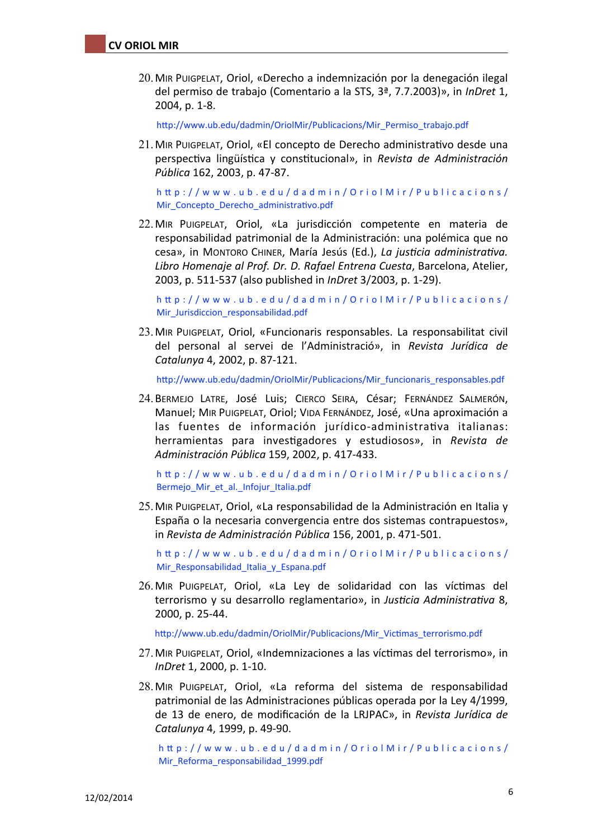20.MIR PUIGPELAT, Oriol, «Derecho a indemnización por la denegación ilegal del permiso de trabajo (Comentario a la STS, 3ª, 7.7.2003)», in *InDret* 1, 2004, p. 1-8.

http://www.ub.edu/dadmin/OriolMir/Publicacions/Mir\_Permiso\_trabajo.pdf

21. MIR PUIGPELAT, Oriol, «El concepto de Derecho administrativo desde una perspectiva lingüística y constitucional», in *Revista de Administración Pública* 162, 2003, p. 47-87.

[h`p://www.ub.edu/dadmin/OriolMir/Publicacions/](http://www.ub.edu/dadmin/OriolMir/Publicacions/Mir_Concepto_Derecho_administrativo.pdf) Mir\_Concepto\_Derecho\_administrativo.pdf

22. MIR PUIGPELAT, Oriol, «La jurisdicción competente en materia de responsabilidad patrimonial de la Administración: una polémica que no cesa», in MONTORO CHINER, María Jesús (Ed.), La justicia administrativa. Libro Homenaje al Prof. Dr. D. Rafael Entrena Cuesta, Barcelona, Atelier, 2003, p. 511-537 (also published in *InDret* 3/2003, p. 1-29).

[h`p://www.ub.edu/dadmin/OriolMir/Publicacions/](http://www.ub.edu/dadmin/OriolMir/Publicacions/Mir_Jurisdiccion_responsabilidad.pdf) [Mir\\_Jurisdiccion\\_responsabilidad.pdf](http://www.ub.edu/dadmin/OriolMir/Publicacions/Mir_Jurisdiccion_responsabilidad.pdf)

23. MIR PUIGPELAT, Oriol, «Funcionaris responsables. La responsabilitat civil del personal al servei de l'Administració», in *Revista Jurídica de Catalunya* 4, 2002, p. 87-121.

http://www.ub.edu/dadmin/OriolMir/Publicacions/Mir\_funcionaris\_responsables.pdf

24. BERMEJO LATRE, JOSé Luis; CIERCO SEIRA, César; FERNÁNDEZ SALMERÓN, Manuel; MIR PUIGPELAT, Oriol; VIDA FERNÁNDEZ, José, «Una aproximación a las fuentes de información jurídico-administrativa italianas: herramientas para investigadores y estudiosos», in *Revista de Administración Pública* 159, 2002, p. 417-433.

[h`p://www.ub.edu/dadmin/OriolMir/Publicacions/](http://www.ub.edu/dadmin/OriolMir/Publicacions/Bermejo_Mir_et_al._Infojur_Italia.pdf) Bermejo Mir\_et\_al. Infojur\_Italia.pdf

25. MIR PUIGPELAT, Oriol, «La responsabilidad de la Administración en Italia y España o la necesaria convergencia entre dos sistemas contrapuestos», in *Revista de Administración Pública* 156, 2001, p. 471-501.

[h`p://www.ub.edu/dadmin/OriolMir/Publicacions/](http://www.ub.edu/dadmin/OriolMir/Publicacions/Mir_Responsabilidad_Italia_y_Espana.pdf) [Mir\\_Responsabilidad\\_Italia\\_y\\_Espana.pdf](http://www.ub.edu/dadmin/OriolMir/Publicacions/Mir_Responsabilidad_Italia_y_Espana.pdf)

26. MIR PUIGPELAT, Oriol, «La Ley de solidaridad con las víctimas del terrorismo y su desarrollo reglamentario», in *Justicia Administrativa* 8, 2000, p. 25-44.

http://www.ub.edu/dadmin/OriolMir/Publicacions/Mir\_Victimas\_terrorismo.pdf

- 27. MIR PUIGPELAT, Oriol, «Indemnizaciones a las víctimas del terrorismo», in *InDret* 1, 2000, p. 1-10.
- 28. MIR PUIGPELAT, Oriol, «La reforma del sistema de responsabilidad patrimonial de las Administraciones públicas operada por la Ley 4/1999, de 13 de enero, de modificación de la LRJPAC», in *Revista Jurídica de Catalunya* 4, 1999, p. 49-90.

[h`p://www.ub.edu/dadmin/OriolMir/Publicacions/](http://www.ub.edu/dadmin/OriolMir/Publicacions/Mir_Reforma_responsabilidad_1999.pdf) [Mir\\_Reforma\\_responsabilidad\\_1999.pdf](http://www.ub.edu/dadmin/OriolMir/Publicacions/Mir_Reforma_responsabilidad_1999.pdf)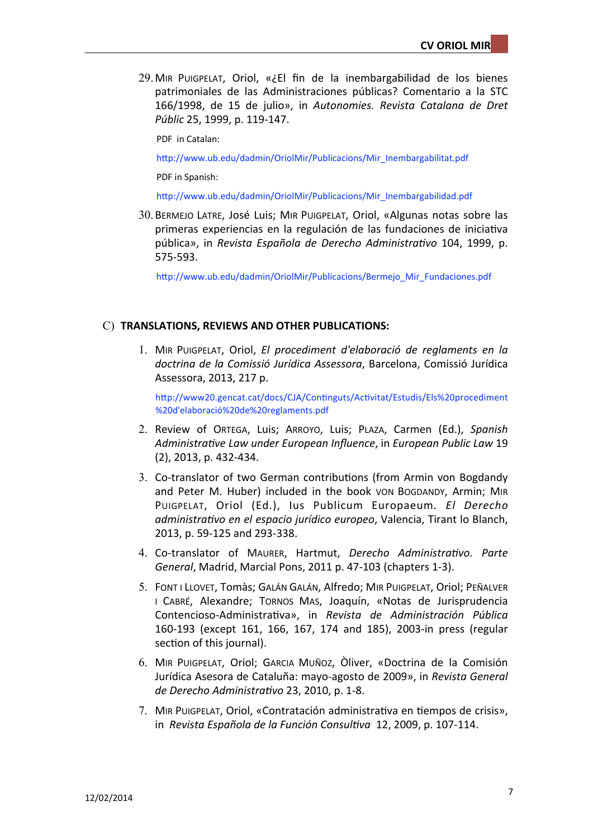$29$ . MIR PUIGPELAT, Oriol, « $iE$  fin de la inembargabilidad de los bienes patrimoniales de las Administraciones públicas? Comentario a la STC 166/1998, de 15 de julio», in Autonomies. Revista Catalana de Dret *Públic* 25, 1999, p. 119-147.

PDF in Catalan:

http://www.ub.edu/dadmin/OriolMir/Publicacions/Mir\_Inembargabilitat.pdf

PDF in Spanish:

http://www.ub.edu/dadmin/OriolMir/Publicacions/Mir\_Inembargabilidad.pdf

30.BERMEJO LATRE, José Luis; MIR PUIGPELAT, Oriol, «Algunas notas sobre las primeras experiencias en la regulación de las fundaciones de iniciativa pública», in *Revista Española de Derecho Administrativo* 104, 1999, p. 575-593.

http://www.ub.edu/dadmin/OriolMir/Publicacions/Bermejo\_Mir\_Fundaciones.pdf

#### C) **TRANSLATIONS, REVIEWS AND OTHER PUBLICATIONS:**

1. MIR PUIGPELAT, Oriol, *El procediment d'elaboració de reglaments en la doctrina de la Comissió Jurídica Assessora*, Barcelona, Comissió Jurídica Assessora, 2013, 217 p.

http://www20.gencat.cat/docs/CJA/Continguts/Activitat/Estudis/Els%20procediment [%20d'elaboració%20de%20reglaments.pdf](http://www20.gencat.cat/docs/CJA/Continguts/Activitat/Estudis/Els%20procediment%20d)

- 2. Review of ORTEGA, Luis; ARROYO, Luis; PLAZA, Carmen (Ed.), *Spanish Administra(ve Law under European Influence*, in *European Public Law* 19  $(2)$ , 2013, p. 432-434.
- 3. Co-translator of two German contributions (from Armin von Bogdandy and Peter M. Huber) included in the book von Bogdandy, Armin; MIR PUIGPELAT, Oriol (Ed.), Ius Publicum Europaeum*. El Derecho administrativo en el espacio jurídico europeo*, Valencia, Tirant lo Blanch, 2013, p. 59-125 and 293-338.
- 4. Co-translator of MAURER, Hartmut, Derecho Administrativo. Parte *General*, Madrid, Marcial Pons, 2011 p. 47-103 (chapters 1-3).
- 5. FONT I LLOVET, TOMÀS; GALÁN GALÁN, Alfredo; MIR PUIGPELAT, Oriol; PEÑALVER I CABRÉ, Alexandre; TORNOS MAS, Joaquín, «Notas de Jurisprudencia Contencioso-Administrativa», in Revista de Administración Pública 160-193 (except 161, 166, 167, 174 and 185), 2003-in press (regular section of this journal).
- 6. MIR PUIGPELAT, Oriol; GARCIA MUÑOZ, Òliver, «Doctrina de la Comisión Jurídica Asesora de Cataluña: mayo-agosto de 2009», in *Revista General de Derecho Administrativo* 23, 2010, p. 1-8.
- 7. MIR PUIGPELAT, Oriol, «Contratación administrativa en tiempos de crisis», in Revista Española de la Función Consultiva 12, 2009, p. 107-114.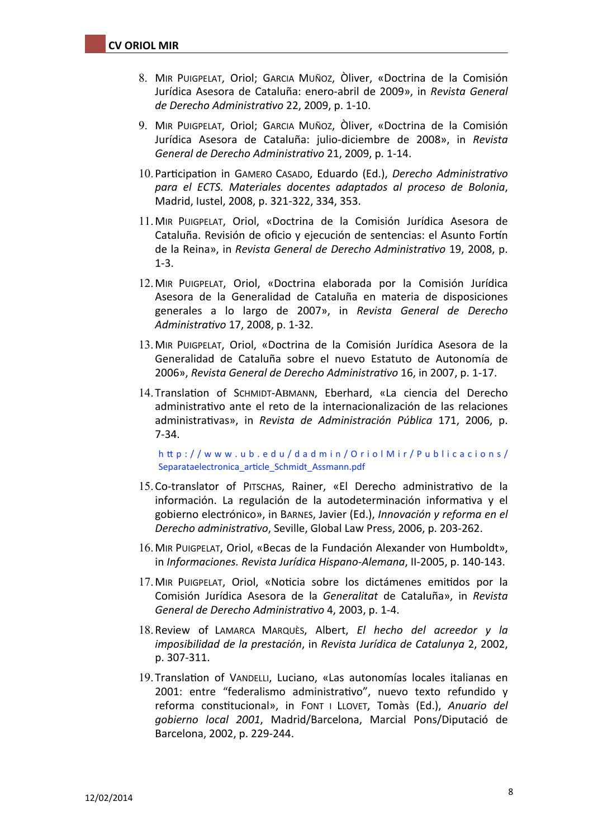- 8. MIR PUIGPELAT, Oriol; GARCIA MUÑOZ, Òliver, «Doctrina de la Comisión Jurídica Asesora de Cataluña: enero-abril de 2009», in *Revista General de Derecho Administra(vo* 22, 2009, p. 1-10.
- 9. MIR PUIGPELAT, Oriol; GARCIA MUÑOZ, Òliver, «Doctrina de la Comisión Jurídica Asesora de Cataluña: julio-diciembre de 2008», in Revista *General de Derecho Administrativo* 21, 2009, p. 1-14.
- 10. Participation in GAMERO CASADO, Eduardo (Ed.), *Derecho Administrativo para el ECTS. Materiales docentes adaptados al proceso de Bolonia*, Madrid, Iustel, 2008, p. 321-322, 334, 353.
- 11.MIR PUIGPELAT, Oriol, «Doctrina de la Comisión Jurídica Asesora de Cataluña. Revisión de oficio y ejecución de sentencias: el Asunto Fortín de la Reina», in *Revista General de Derecho Administrativo* 19, 2008, p. 1-3.
- 12. MIR PUIGPELAT, Oriol, «Doctrina elaborada por la Comisión Jurídica Asesora de la Generalidad de Cataluña en materia de disposiciones generales a lo largo de 2007», in *Revista General de Derecho Administra(vo* 17, 2008, p. 1-32.
- 13. MIR PUIGPELAT, Oriol, «Doctrina de la Comisión Jurídica Asesora de la Generalidad de Cataluña sobre el nuevo Estatuto de Autonomía de 2006», Revista General de Derecho Administrativo 16, in 2007, p. 1-17.
- 14. Translation of SCHMIDT-ABMANN, Eberhard, «La ciencia del Derecho administrativo ante el reto de la internacionalización de las relaciones administrativas», in *Revista de Administración Pública* 171, 2006, p. 7-34.

[h`p://www.ub.edu/dadmin/OriolMir/Publicacions/](http://www.ub.edu/dadmin/OriolMir/Publicacions/Separataelectronica_article_Schmidt_Assmann.pdf) Separataelectronica\_article\_Schmidt\_Assmann.pdf

- 15. Co-translator of PITSCHAS, Rainer, «El Derecho administrativo de la información. La regulación de la autodeterminación informativa y el gobierno electrónico», in Barnes, Javier (Ed.), *Innovación y reforma en el Derecho administrativo*, Seville, Global Law Press, 2006, p. 203-262.
- 16. MIR PUIGPELAT, Oriol, «Becas de la Fundación Alexander von Humboldt», in *Informaciones. Revista Jurídica Hispano-Alemana*, II-2005, p. 140-143.
- 17. MIR PUIGPELAT, Oriol, «Noticia sobre los dictámenes emitidos por la Comisión Jurídica Asesora de la *Generalitat* de Cataluña», in *Revista General de Derecho Administrativo* 4, 2003, p. 1-4.
- 18.Review of LAMARCA MARQUÈS, Albert, *El hecho del acreedor y la imposibilidad de la prestación*, in *Revista Jurídica de Catalunya* 2, 2002, p. 307-311.
- 19. Translation of VANDELLI, Luciano, «Las autonomías locales italianas en 2001: entre "federalismo administrativo", nuevo texto refundido y reforma constitucional», in FONT I LLOVET, Tomàs (Ed.), Anuario del *gobierno local 2001*, Madrid/Barcelona, Marcial Pons/Diputació de Barcelona, 2002, p. 229-244.